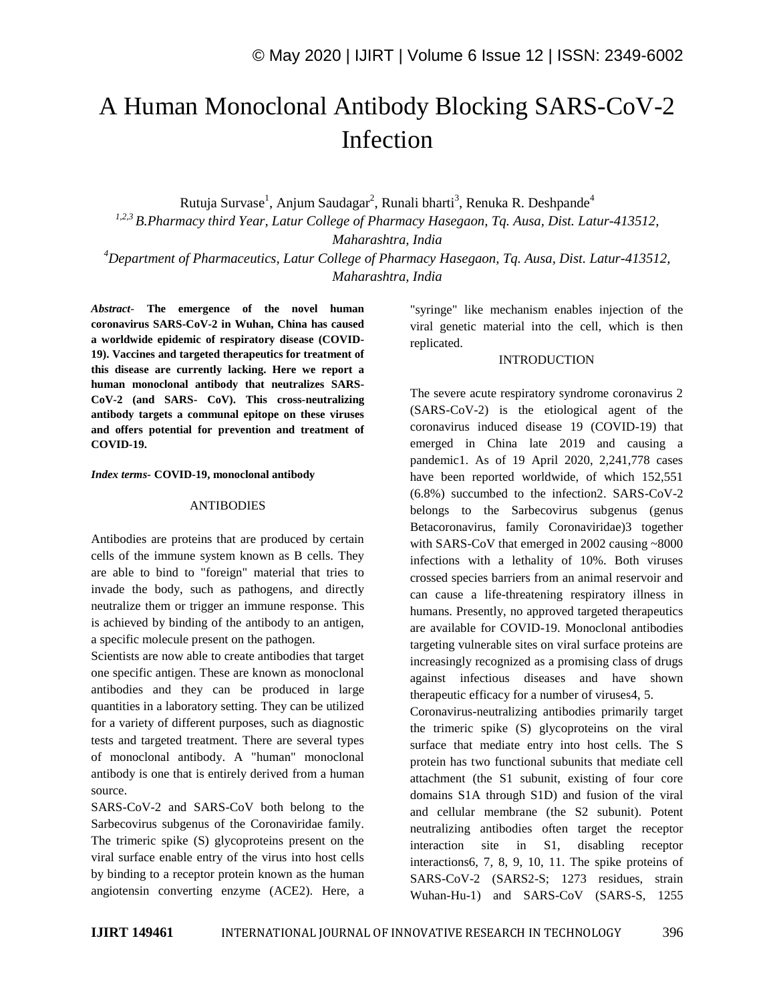# A Human Monoclonal Antibody Blocking SARS-CoV-2 Infection

Rutuja Survase<sup>1</sup>, Anjum Saudagar<sup>2</sup>, Runali bharti<sup>3</sup>, Renuka R. Deshpande<sup>4</sup>

*1,2,3 B.Pharmacy third Year, Latur College of Pharmacy Hasegaon, Tq. Ausa, Dist. Latur-413512, Maharashtra, India*

*<sup>4</sup>Department of Pharmaceutics, Latur College of Pharmacy Hasegaon, Tq. Ausa, Dist. Latur-413512, Maharashtra, India*

*Abstract*- **The emergence of the novel human coronavirus SARS-CoV-2 in Wuhan, China has caused a worldwide epidemic of respiratory disease (COVID-19). Vaccines and targeted therapeutics for treatment of this disease are currently lacking. Here we report a human monoclonal antibody that neutralizes SARS-CoV-2 (and SARS- CoV). This cross-neutralizing antibody targets a communal epitope on these viruses and offers potential for prevention and treatment of COVID-19.**

#### *Index terms***- COVID-19, monoclonal antibody**

#### ANTIBODIES

Antibodies are proteins that are produced by certain cells of the immune system known as B cells. They are able to bind to "foreign" material that tries to invade the body, such as pathogens, and directly neutralize them or trigger an immune response. This is achieved by binding of the antibody to an antigen, a specific molecule present on the pathogen.

Scientists are now able to create antibodies that target one specific antigen. These are known as monoclonal antibodies and they can be produced in large quantities in a laboratory setting. They can be utilized for a variety of different purposes, such as diagnostic tests and targeted treatment. There are several types of monoclonal antibody. A "human" monoclonal antibody is one that is entirely derived from a human source.

SARS-CoV-2 and SARS-CoV both belong to the Sarbecovirus subgenus of the Coronaviridae family. The trimeric spike (S) glycoproteins present on the viral surface enable entry of the virus into host cells by binding to a receptor protein known as the human angiotensin converting enzyme (ACE2). Here, a "syringe" like mechanism enables injection of the viral genetic material into the cell, which is then replicated.

#### INTRODUCTION

The severe acute respiratory syndrome coronavirus 2 (SARS-CoV-2) is the etiological agent of the coronavirus induced disease 19 (COVID-19) that emerged in China late 2019 and causing a pandemic1. As of 19 April 2020, 2,241,778 cases have been reported worldwide, of which 152,551 (6.8%) succumbed to the infection2. SARS-CoV-2 belongs to the Sarbecovirus subgenus (genus Betacoronavirus, family Coronaviridae)3 together with SARS-CoV that emerged in 2002 causing ~8000 infections with a lethality of 10%. Both viruses crossed species barriers from an animal reservoir and can cause a life-threatening respiratory illness in humans. Presently, no approved targeted therapeutics are available for COVID-19. Monoclonal antibodies targeting vulnerable sites on viral surface proteins are increasingly recognized as a promising class of drugs against infectious diseases and have shown therapeutic efficacy for a number of viruses4, 5.

Coronavirus-neutralizing antibodies primarily target the trimeric spike (S) glycoproteins on the viral surface that mediate entry into host cells. The S protein has two functional subunits that mediate cell attachment (the S1 subunit, existing of four core domains S1A through S1D) and fusion of the viral and cellular membrane (the S2 subunit). Potent neutralizing antibodies often target the receptor interaction site in S1, disabling receptor interactions6, 7, 8, 9, 10, 11. The spike proteins of SARS-CoV-2 (SARS2-S; 1273 residues, strain Wuhan-Hu-1) and SARS-CoV (SARS-S, 1255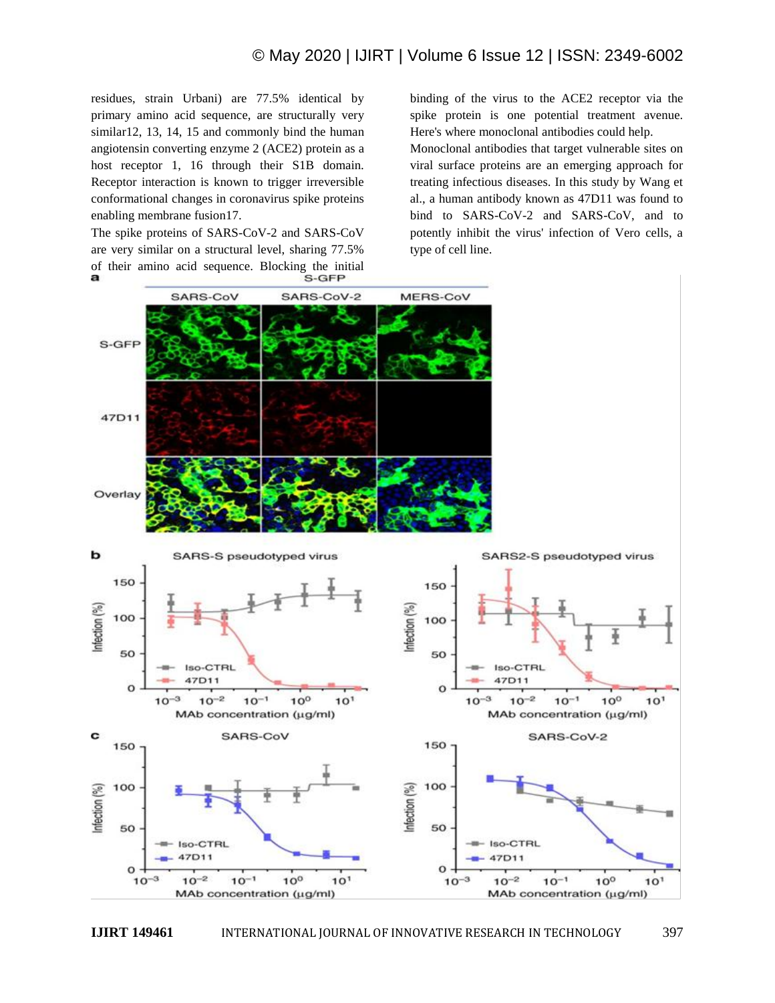residues, strain Urbani) are 77.5% identical by primary amino acid sequence, are structurally very similar12, 13, 14, 15 and commonly bind the human angiotensin converting enzyme 2 (ACE2) protein as a host receptor 1, 16 through their S1B domain. Receptor interaction is known to trigger irreversible conformational changes in coronavirus spike proteins enabling membrane fusion17.

The spike proteins of SARS-CoV-2 and SARS-CoV are very similar on a structural level, sharing 77.5% of their amino acid sequence. Blocking the initial<br>S-GFP binding of the virus to the ACE2 receptor via the spike protein is one potential treatment avenue. Here's where monoclonal antibodies could help.

Monoclonal antibodies that target vulnerable sites on viral surface proteins are an emerging approach for treating infectious diseases. In this study by Wang et al., a human antibody known as 47D11 was found to bind to SARS-CoV-2 and SARS-CoV, and to potently inhibit the virus' infection of Vero cells, a type of cell line.

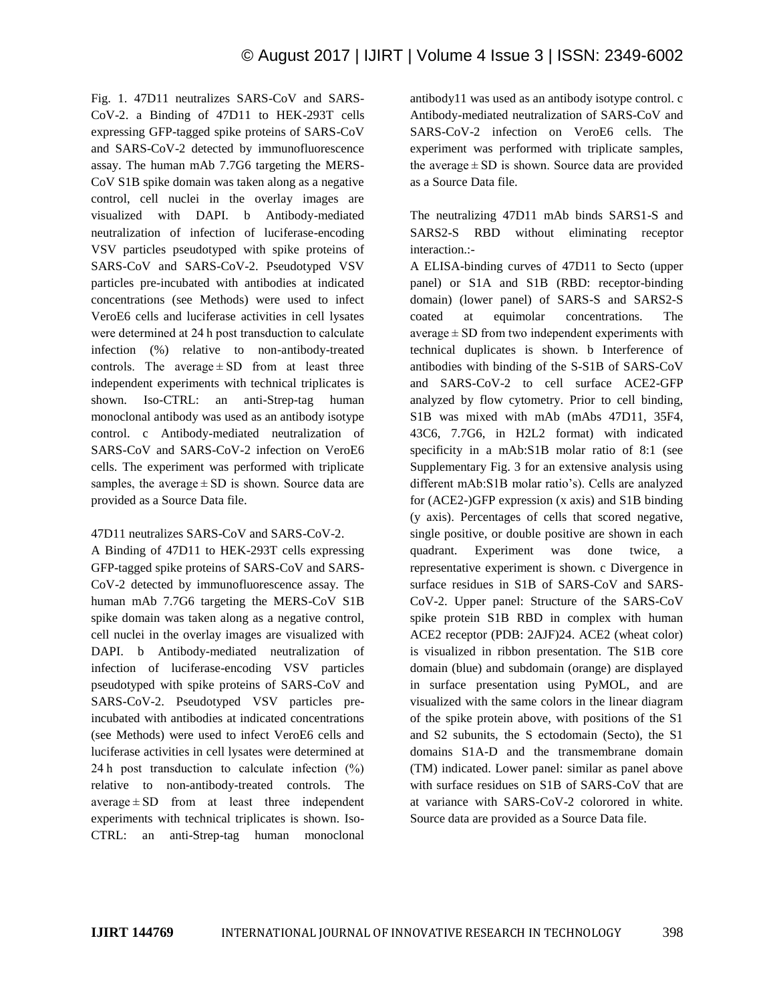Fig. 1. 47D11 neutralizes SARS-CoV and SARS-CoV-2. a Binding of 47D11 to HEK-293T cells expressing GFP-tagged spike proteins of SARS-CoV and SARS-CoV-2 detected by immunofluorescence assay. The human mAb 7.7G6 targeting the MERS-CoV S1B spike domain was taken along as a negative control, cell nuclei in the overlay images are visualized with DAPI. b Antibody-mediated neutralization of infection of luciferase-encoding VSV particles pseudotyped with spike proteins of SARS-CoV and SARS-CoV-2. Pseudotyped VSV particles pre-incubated with antibodies at indicated concentrations (see Methods) were used to infect VeroE6 cells and luciferase activities in cell lysates were determined at 24 h post transduction to calculate infection (%) relative to non-antibody-treated controls. The average  $\pm$  SD from at least three independent experiments with technical triplicates is shown. Iso-CTRL: an anti-Strep-tag human monoclonal antibody was used as an antibody isotype control. c Antibody-mediated neutralization of SARS-CoV and SARS-CoV-2 infection on VeroE6 cells. The experiment was performed with triplicate samples, the average  $\pm$  SD is shown. Source data are provided as a Source Data file.

## 47D11 neutralizes SARS-CoV and SARS-CoV-2.

A Binding of 47D11 to HEK-293T cells expressing GFP-tagged spike proteins of SARS-CoV and SARS-CoV-2 detected by immunofluorescence assay. The human mAb 7.7G6 targeting the MERS-CoV S1B spike domain was taken along as a negative control, cell nuclei in the overlay images are visualized with DAPI. b Antibody-mediated neutralization of infection of luciferase-encoding VSV particles pseudotyped with spike proteins of SARS-CoV and SARS-CoV-2. Pseudotyped VSV particles preincubated with antibodies at indicated concentrations (see Methods) were used to infect VeroE6 cells and luciferase activities in cell lysates were determined at 24 h post transduction to calculate infection (%) relative to non-antibody-treated controls. The  $average \pm SD$  from at least three independent experiments with technical triplicates is shown. Iso-CTRL: an anti-Strep-tag human monoclonal antibody11 was used as an antibody isotype control. c Antibody-mediated neutralization of SARS-CoV and SARS-CoV-2 infection on VeroE6 cells. The experiment was performed with triplicate samples, the average  $\pm$  SD is shown. Source data are provided as a Source Data file.

The neutralizing 47D11 mAb binds SARS1-S and SARS2-S RBD without eliminating receptor interaction.:-

A ELISA-binding curves of 47D11 to Secto (upper panel) or S1A and S1B (RBD: receptor-binding domain) (lower panel) of SARS-S and SARS2-S coated at equimolar concentrations. The  $average \pm SD$  from two independent experiments with technical duplicates is shown. b Interference of antibodies with binding of the S-S1B of SARS-CoV and SARS-CoV-2 to cell surface ACE2-GFP analyzed by flow cytometry. Prior to cell binding, S1B was mixed with mAb (mAbs 47D11, 35F4, 43C6, 7.7G6, in H2L2 format) with indicated specificity in a mAb:S1B molar ratio of 8:1 (see Supplementary Fig. 3 for an extensive analysis using different mAb:S1B molar ratio's). Cells are analyzed for (ACE2-)GFP expression (x axis) and S1B binding (y axis). Percentages of cells that scored negative, single positive, or double positive are shown in each quadrant. Experiment was done twice, a representative experiment is shown. c Divergence in surface residues in S1B of SARS-CoV and SARS-CoV-2. Upper panel: Structure of the SARS-CoV spike protein S1B RBD in complex with human ACE2 receptor (PDB: 2AJF)24. ACE2 (wheat color) is visualized in ribbon presentation. The S1B core domain (blue) and subdomain (orange) are displayed in surface presentation using PyMOL, and are visualized with the same colors in the linear diagram of the spike protein above, with positions of the S1 and S2 subunits, the S ectodomain (Secto), the S1 domains S1A-D and the transmembrane domain (TM) indicated. Lower panel: similar as panel above with surface residues on S1B of SARS-CoV that are at variance with SARS-CoV-2 colorored in white. Source data are provided as a Source Data file.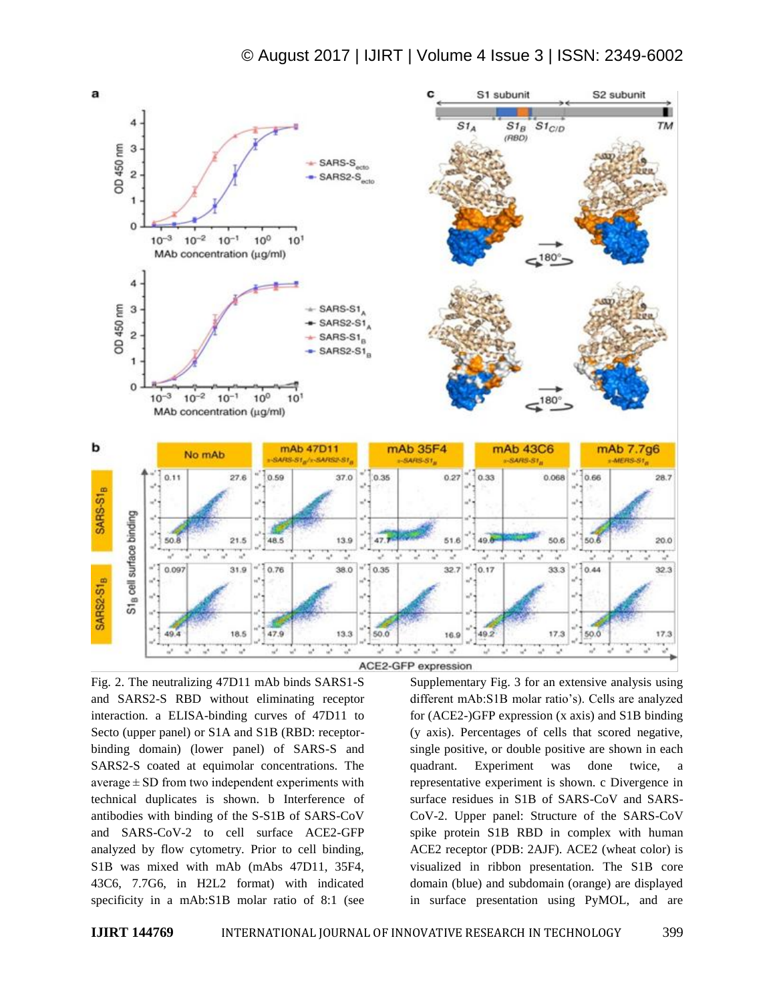



Fig. 2. The neutralizing 47D11 mAb binds SARS1-S and SARS2-S RBD without eliminating receptor interaction. a ELISA-binding curves of 47D11 to Secto (upper panel) or S1A and S1B (RBD: receptorbinding domain) (lower panel) of SARS-S and SARS2-S coated at equimolar concentrations. The average  $\pm$  SD from two independent experiments with technical duplicates is shown. b Interference of antibodies with binding of the S-S1B of SARS-CoV and SARS-CoV-2 to cell surface ACE2-GFP analyzed by flow cytometry. Prior to cell binding, S1B was mixed with mAb (mAbs 47D11, 35F4, 43C6, 7.7G6, in H2L2 format) with indicated specificity in a mAb:S1B molar ratio of 8:1 (see

Supplementary Fig. 3 for an extensive analysis using different mAb:S1B molar ratio's). Cells are analyzed for (ACE2-)GFP expression (x axis) and S1B binding (y axis). Percentages of cells that scored negative, single positive, or double positive are shown in each quadrant. Experiment was done twice, a representative experiment is shown. c Divergence in surface residues in S1B of SARS-CoV and SARS-CoV-2. Upper panel: Structure of the SARS-CoV spike protein S1B RBD in complex with human ACE2 receptor (PDB: 2AJF). ACE2 (wheat color) is visualized in ribbon presentation. The S1B core domain (blue) and subdomain (orange) are displayed in surface presentation using PyMOL, and are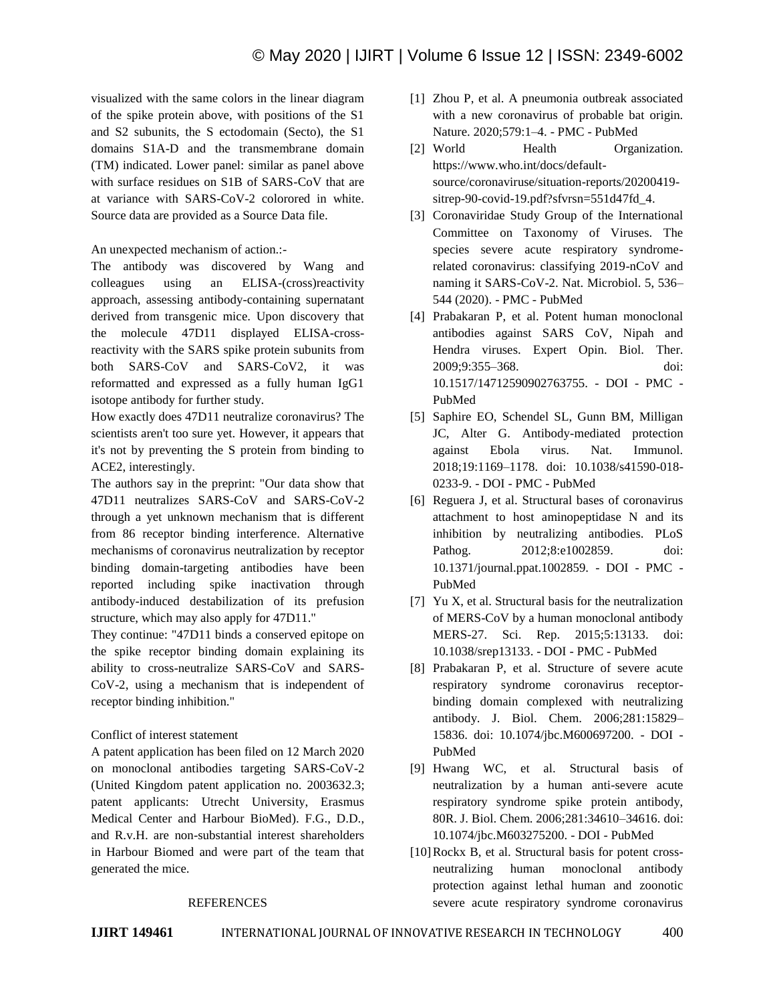visualized with the same colors in the linear diagram of the spike protein above, with positions of the S1 and S2 subunits, the S ectodomain (Secto), the S1 domains S1A-D and the transmembrane domain (TM) indicated. Lower panel: similar as panel above with surface residues on S1B of SARS-CoV that are at variance with SARS-CoV-2 colorored in white. Source data are provided as a Source Data file.

#### An unexpected mechanism of action.:-

The antibody was discovered by Wang and colleagues using an ELISA-(cross)reactivity approach, assessing antibody-containing supernatant derived from transgenic mice. Upon discovery that the molecule 47D11 displayed ELISA-crossreactivity with the SARS spike protein subunits from both SARS-CoV and SARS-CoV2, it was reformatted and expressed as a fully human IgG1 isotope antibody for further study.

How exactly does 47D11 neutralize coronavirus? The scientists aren't too sure yet. However, it appears that it's not by preventing the S protein from binding to ACE2, interestingly.

The authors say in the preprint: "Our data show that 47D11 neutralizes SARS-CoV and SARS-CoV-2 through a yet unknown mechanism that is different from 86 receptor binding interference. Alternative mechanisms of coronavirus neutralization by receptor binding domain-targeting antibodies have been reported including spike inactivation through antibody-induced destabilization of its prefusion structure, which may also apply for 47D11."

They continue: "47D11 binds a conserved epitope on the spike receptor binding domain explaining its ability to cross-neutralize SARS-CoV and SARS-CoV-2, using a mechanism that is independent of receptor binding inhibition."

## Conflict of interest statement

A patent application has been filed on 12 March 2020 on monoclonal antibodies targeting SARS-CoV-2 (United Kingdom patent application no. 2003632.3; patent applicants: Utrecht University, Erasmus Medical Center and Harbour BioMed). F.G., D.D., and R.v.H. are non-substantial interest shareholders in Harbour Biomed and were part of the team that generated the mice.

#### REFERENCES

- [1] Zhou P, et al. A pneumonia outbreak associated with a new coronavirus of probable bat origin. Nature. 2020;579:1–4. - PMC - PubMed
- [2] World Health Organization. https://www.who.int/docs/defaultsource/coronaviruse/situation-reports/20200419 sitrep-90-covid-19.pdf?sfvrsn=551d47fd\_4.
- [3] Coronaviridae Study Group of the International Committee on Taxonomy of Viruses. The species severe acute respiratory syndromerelated coronavirus: classifying 2019-nCoV and naming it SARS-CoV-2. Nat. Microbiol. 5, 536– 544 (2020). - PMC - PubMed
- [4] Prabakaran P, et al. Potent human monoclonal antibodies against SARS CoV, Nipah and Hendra viruses. Expert Opin. Biol. Ther. 2009;9:355–368. doi: 10.1517/14712590902763755. - DOI - PMC - PubMed
- [5] Saphire EO, Schendel SL, Gunn BM, Milligan JC, Alter G. Antibody-mediated protection against Ebola virus. Nat. Immunol. 2018;19:1169–1178. doi: 10.1038/s41590-018- 0233-9. - DOI - PMC - PubMed
- [6] Reguera J, et al. Structural bases of coronavirus attachment to host aminopeptidase N and its inhibition by neutralizing antibodies. PLoS Pathog. 2012;8:e1002859. doi: 10.1371/journal.ppat.1002859. - DOI - PMC - PubMed
- [7] Yu X, et al. Structural basis for the neutralization of MERS-CoV by a human monoclonal antibody MERS-27. Sci. Rep. 2015;5:13133. doi: 10.1038/srep13133. - DOI - PMC - PubMed
- [8] Prabakaran P, et al. Structure of severe acute respiratory syndrome coronavirus receptorbinding domain complexed with neutralizing antibody. J. Biol. Chem. 2006;281:15829– 15836. doi: 10.1074/jbc.M600697200. - DOI - PubMed
- [9] Hwang WC, et al. Structural basis of neutralization by a human anti-severe acute respiratory syndrome spike protein antibody, 80R. J. Biol. Chem. 2006;281:34610–34616. doi: 10.1074/jbc.M603275200. - DOI - PubMed
- [10] Rockx B, et al. Structural basis for potent crossneutralizing human monoclonal antibody protection against lethal human and zoonotic severe acute respiratory syndrome coronavirus

**IJIRT 149461** INTERNATIONAL JOURNAL OF INNOVATIVE RESEARCH IN TECHNOLOGY 400